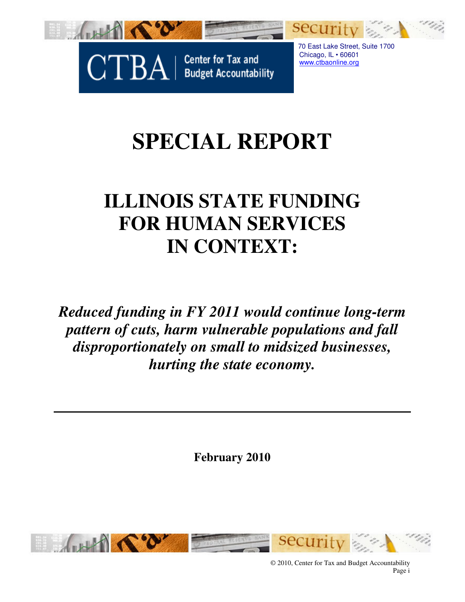

Center for Tax and<br>Budget Accountability **CTBA** 

 70 East Lake Street, Suite 1700 Chicago, IL • 60601 www.ctbaonline.org

# **SPECIAL REPORT**

# **ILLINOIS STATE FUNDING FOR HUMAN SERVICES IN CONTEXT:**

*Reduced funding in FY 2011 would continue long-term pattern of cuts, harm vulnerable populations and fall disproportionately on small to midsized businesses, hurting the state economy.*

**February 2010** 



© 2010, Center for Tax and Budget Accountability Page i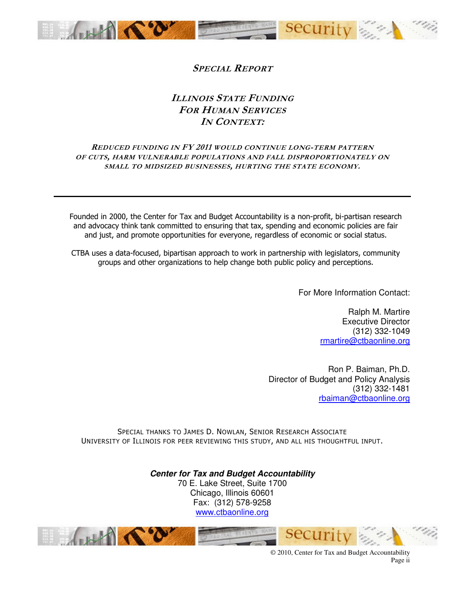

#### SPECIAL REPORT

#### ILLINOIS STATE FUNDING FOR HUMAN SERVICES IN CONTEXT:

#### REDUCED FUNDING IN FY 2011 WOULD CONTINUE LONG-TERM PATTERN OF CUTS, HARM VULNERABLE POPULATIONS AND FALL DISPROPORTIONATELY ON SMALL TO MIDSIZED BUSINESSES, HURTING THE STATE ECONOMY.

Founded in 2000, the Center for Tax and Budget Accountability is a non-profit, bi-partisan research and advocacy think tank committed to ensuring that tax, spending and economic policies are fair and just, and promote opportunities for everyone, regardless of economic or social status.

CTBA uses a data-focused, bipartisan approach to work in partnership with legislators, community groups and other organizations to help change both public policy and perceptions.

For More Information Contact:

Ralph M. Martire Executive Director (312) 332-1049 rmartire@ctbaonline.org

Ron P. Baiman, Ph.D. Director of Budget and Policy Analysis (312) 332-1481 rbaiman@ctbaonline.org

SPECIAL THANKS TO JAMES D. NOWLAN, SENIOR RESEARCH ASSOCIATE UNIVERSITY OF ILLINOIS FOR PEER REVIEWING THIS STUDY, AND ALL HIS THOUGHTFUL INPUT.

> **Center for Tax and Budget Accountability**  70 E. Lake Street, Suite 1700 Chicago, Illinois 60601 Fax: (312) 578-9258 www.ctbaonline.org



© 2010, Center for Tax and Budget Accountability Page ii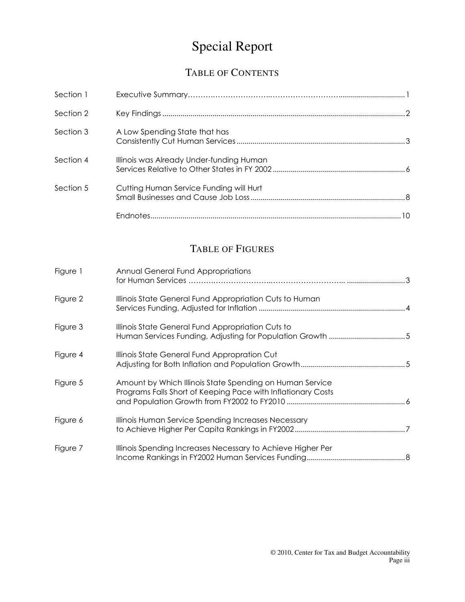## Special Report

## TABLE OF CONTENTS

| Section 1 |                                          |  |
|-----------|------------------------------------------|--|
| Section 2 |                                          |  |
| Section 3 | A Low Spending State that has            |  |
| Section 4 | Illinois was Already Under-funding Human |  |
| Section 5 | Cutting Human Service Funding will Hurt  |  |
|           | 10                                       |  |

## TABLE OF FIGURES

| Figure 1 | Annual General Fund Appropriations                                                                                       |
|----------|--------------------------------------------------------------------------------------------------------------------------|
| Figure 2 | Illinois State General Fund Appropriation Cuts to Human                                                                  |
| Figure 3 | Illinois State General Fund Appropriation Cuts to                                                                        |
| Figure 4 | Illinois State General Fund Appropration Cut                                                                             |
| Figure 5 | Amount by Which Illinois State Spending on Human Service<br>Programs Falls Short of Keeping Pace with Inflationary Costs |
| Figure 6 | Illinois Human Service Spending Increases Necessary                                                                      |
| Figure 7 | Illinois Spending Increases Necessary to Achieve Higher Per                                                              |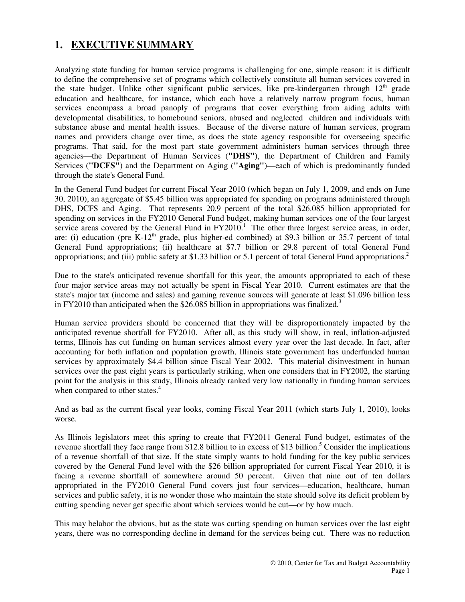### **1. EXECUTIVE SUMMARY**

Analyzing state funding for human service programs is challenging for one, simple reason: it is difficult to define the comprehensive set of programs which collectively constitute all human services covered in the state budget. Unlike other significant public services, like pre-kindergarten through  $12<sup>th</sup>$  grade education and healthcare, for instance, which each have a relatively narrow program focus, human services encompass a broad panoply of programs that cover everything from aiding adults with developmental disabilities, to homebound seniors, abused and neglected children and individuals with substance abuse and mental health issues. Because of the diverse nature of human services, program names and providers change over time, as does the state agency responsible for overseeing specific programs. That said, for the most part state government administers human services through three agencies—the Department of Human Services (**"DHS"**), the Department of Children and Family Services (**"DCFS"**) and the Department on Aging (**"Aging"**)—each of which is predominantly funded through the state's General Fund.

In the General Fund budget for current Fiscal Year 2010 (which began on July 1, 2009, and ends on June 30, 2010), an aggregate of \$5.45 billion was appropriated for spending on programs administered through DHS, DCFS and Aging. That represents 20.9 percent of the total \$26.085 billion appropriated for spending on services in the FY2010 General Fund budget, making human services one of the four largest service areas covered by the General Fund in  $FY2010$ .<sup>1</sup> The other three largest service areas, in order, are: (i) education (pre  $K-12<sup>th</sup>$  grade, plus higher-ed combined) at \$9.3 billion or 35.7 percent of total General Fund appropriations; (ii) healthcare at \$7.7 billion or 29.8 percent of total General Fund appropriations; and (iii) public safety at \$1.33 billion or 5.1 percent of total General Fund appropriations.<sup>2</sup>

Due to the state's anticipated revenue shortfall for this year, the amounts appropriated to each of these four major service areas may not actually be spent in Fiscal Year 2010. Current estimates are that the state's major tax (income and sales) and gaming revenue sources will generate at least \$1.096 billion less in FY2010 than anticipated when the  $$26.085$  billion in appropriations was finalized.<sup>3</sup>

Human service providers should be concerned that they will be disproportionately impacted by the anticipated revenue shortfall for FY2010. After all, as this study will show, in real, inflation-adjusted terms, Illinois has cut funding on human services almost every year over the last decade. In fact, after accounting for both inflation and population growth, Illinois state government has underfunded human services by approximately \$4.4 billion since Fiscal Year 2002. This material disinvestment in human services over the past eight years is particularly striking, when one considers that in FY2002, the starting point for the analysis in this study, Illinois already ranked very low nationally in funding human services when compared to other states.<sup>4</sup>

And as bad as the current fiscal year looks, coming Fiscal Year 2011 (which starts July 1, 2010), looks worse.

As Illinois legislators meet this spring to create that FY2011 General Fund budget, estimates of the revenue shortfall they face range from \$12.8 billion to in excess of \$13 billion.<sup>5</sup> Consider the implications of a revenue shortfall of that size. If the state simply wants to hold funding for the key public services covered by the General Fund level with the \$26 billion appropriated for current Fiscal Year 2010, it is facing a revenue shortfall of somewhere around 50 percent. Given that nine out of ten dollars appropriated in the FY2010 General Fund covers just four services—education, healthcare, human services and public safety, it is no wonder those who maintain the state should solve its deficit problem by cutting spending never get specific about which services would be cut—or by how much.

This may belabor the obvious, but as the state was cutting spending on human services over the last eight years, there was no corresponding decline in demand for the services being cut. There was no reduction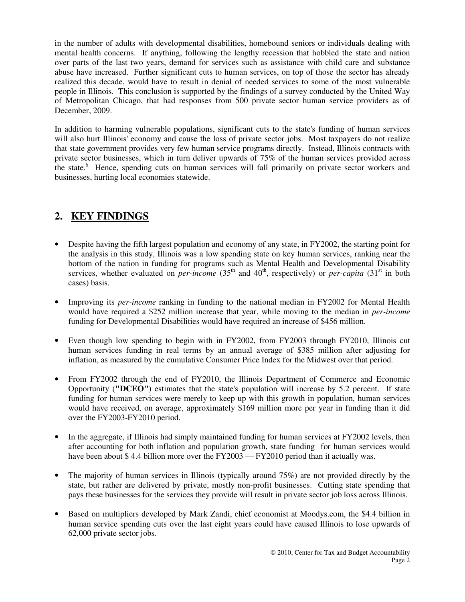in the number of adults with developmental disabilities, homebound seniors or individuals dealing with mental health concerns. If anything, following the lengthy recession that hobbled the state and nation over parts of the last two years, demand for services such as assistance with child care and substance abuse have increased. Further significant cuts to human services, on top of those the sector has already realized this decade, would have to result in denial of needed services to some of the most vulnerable people in Illinois. This conclusion is supported by the findings of a survey conducted by the United Way of Metropolitan Chicago, that had responses from 500 private sector human service providers as of December, 2009.

In addition to harming vulnerable populations, significant cuts to the state's funding of human services will also hurt Illinois' economy and cause the loss of private sector jobs. Most taxpayers do not realize that state government provides very few human service programs directly. Instead, Illinois contracts with private sector businesses, which in turn deliver upwards of 75% of the human services provided across the state.<sup>6</sup> Hence, spending cuts on human services will fall primarily on private sector workers and businesses, hurting local economies statewide.

## **2. KEY FINDINGS**

- Despite having the fifth largest population and economy of any state, in FY2002, the starting point for the analysis in this study, Illinois was a low spending state on key human services, ranking near the bottom of the nation in funding for programs such as Mental Health and Developmental Disability services, whether evaluated on *per-income*  $(35<sup>th</sup>$  and  $40<sup>th</sup>$ , respectively) or *per-capita*  $(31<sup>st</sup>$  in both cases) basis.
- Improving its *per-income* ranking in funding to the national median in FY2002 for Mental Health would have required a \$252 million increase that year, while moving to the median in *per-income* funding for Developmental Disabilities would have required an increase of \$456 million.
- Even though low spending to begin with in FY2002, from FY2003 through FY2010, Illinois cut human services funding in real terms by an annual average of \$385 million after adjusting for inflation, as measured by the cumulative Consumer Price Index for the Midwest over that period.
- From FY2002 through the end of FY2010, the Illinois Department of Commerce and Economic Opportunity (**"DCEO"**) estimates that the state's population will increase by 5.2 percent. If state funding for human services were merely to keep up with this growth in population, human services would have received, on average, approximately \$169 million more per year in funding than it did over the FY2003-FY2010 period.
- In the aggregate, if Illinois had simply maintained funding for human services at FY2002 levels, then after accounting for both inflation and population growth, state funding for human services would have been about \$4.4 billion more over the  $FY2003 - FY2010$  period than it actually was.
- The majority of human services in Illinois (typically around 75%) are not provided directly by the state, but rather are delivered by private, mostly non-profit businesses. Cutting state spending that pays these businesses for the services they provide will result in private sector job loss across Illinois.
- Based on multipliers developed by Mark Zandi, chief economist at Moodys.com, the \$4.4 billion in human service spending cuts over the last eight years could have caused Illinois to lose upwards of 62,000 private sector jobs.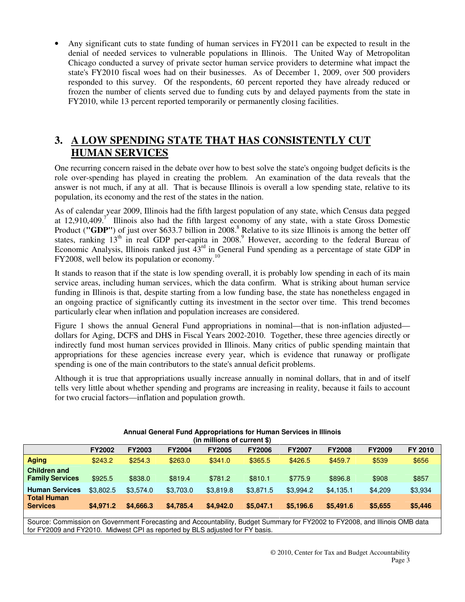• Any significant cuts to state funding of human services in FY2011 can be expected to result in the denial of needed services to vulnerable populations in Illinois. The United Way of Metropolitan Chicago conducted a survey of private sector human service providers to determine what impact the state's FY2010 fiscal woes had on their businesses. As of December 1, 2009, over 500 providers responded to this survey. Of the respondents, 60 percent reported they have already reduced or frozen the number of clients served due to funding cuts by and delayed payments from the state in FY2010, while 13 percent reported temporarily or permanently closing facilities.

### **3. A LOW SPENDING STATE THAT HAS CONSISTENTLY CUT HUMAN SERVICES**

One recurring concern raised in the debate over how to best solve the state's ongoing budget deficits is the role over-spending has played in creating the problem. An examination of the data reveals that the answer is not much, if any at all. That is because Illinois is overall a low spending state, relative to its population, its economy and the rest of the states in the nation.

As of calendar year 2009, Illinois had the fifth largest population of any state, which Census data pegged at  $12,910,409$ .<sup>7</sup> Illinois also had the fifth largest economy of any state, with a state Gross Domestic Product ("GDP") of just over \$633.7 billion in 2008.<sup>8</sup> Relative to its size Illinois is among the better off states, ranking  $13<sup>th</sup>$  in real GDP per-capita in 2008.<sup>9</sup> However, according to the federal Bureau of Economic Analysis, Illinois ranked just  $43<sup>rd</sup>$  in General Fund spending as a percentage of state GDP in  $FY2008$ , well below its population or economy.<sup>10</sup>

It stands to reason that if the state is low spending overall, it is probably low spending in each of its main service areas, including human services, which the data confirm. What is striking about human service funding in Illinois is that, despite starting from a low funding base, the state has nonetheless engaged in an ongoing practice of significantly cutting its investment in the sector over time. This trend becomes particularly clear when inflation and population increases are considered.

Figure 1 shows the annual General Fund appropriations in nominal—that is non-inflation adjusted dollars for Aging, DCFS and DHS in Fiscal Years 2002-2010. Together, these three agencies directly or indirectly fund most human services provided in Illinois. Many critics of public spending maintain that appropriations for these agencies increase every year, which is evidence that runaway or profligate spending is one of the main contributors to the state's annual deficit problems.

Although it is true that appropriations usually increase annually in nominal dollars, that in and of itself tells very little about whether spending and programs are increasing in reality, because it fails to account for two crucial factors—inflation and population growth.

| (in millions of current \$)                   |               |               |               |               |               |               |               |               |         |  |  |  |
|-----------------------------------------------|---------------|---------------|---------------|---------------|---------------|---------------|---------------|---------------|---------|--|--|--|
|                                               | <b>FY2002</b> | <b>FY2003</b> | <b>FY2004</b> | <b>FY2005</b> | <b>FY2006</b> | <b>FY2007</b> | <b>FY2008</b> | <b>FY2009</b> | FY 2010 |  |  |  |
| <b>Aging</b>                                  | \$243.2       | \$254.3       | \$263.0       | \$341.0       | \$365.5       | \$426.5       | \$459.7       | \$539         | \$656   |  |  |  |
| <b>Children and</b><br><b>Family Services</b> | \$925.5       | \$838.0       | \$819.4       | \$781.2       | \$810.1       | \$775.9       | \$896.8       | \$908         | \$857   |  |  |  |
| <b>Human Services</b>                         | \$3,802.5     | \$3,574.0     | \$3,703.0     | \$3,819.8     | \$3,871.5     | \$3.994.2     | \$4,135.1     | \$4,209       | \$3,934 |  |  |  |
| <b>Total Human</b><br><b>Services</b>         | \$4,971.2     | \$4,666.3     | \$4,785.4     | \$4,942.0     | \$5,047.1     | \$5,196.6     | \$5,491.6     | \$5,655       | \$5,446 |  |  |  |

## **Annual General Fund Appropriations for Human Services in Illinois**

Source: Commission on Government Forecasting and Accountability, Budget Summary for FY2002 to FY2008, and Illinois OMB data for FY2009 and FY2010. Midwest CPI as reported by BLS adjusted for FY basis.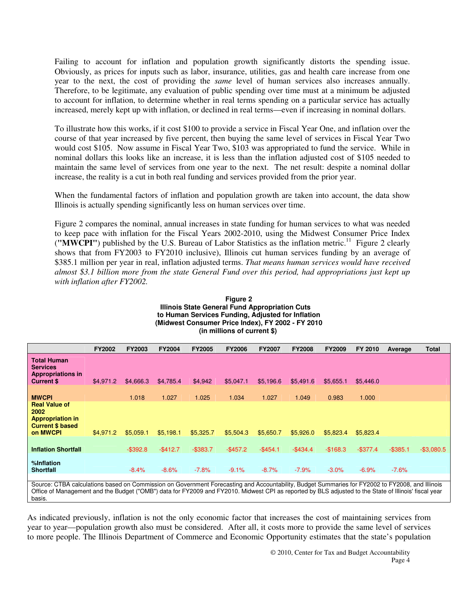Failing to account for inflation and population growth significantly distorts the spending issue. Obviously, as prices for inputs such as labor, insurance, utilities, gas and health care increase from one year to the next, the cost of providing the *same* level of human services also increases annually. Therefore, to be legitimate, any evaluation of public spending over time must at a minimum be adjusted to account for inflation, to determine whether in real terms spending on a particular service has actually increased, merely kept up with inflation, or declined in real terms—even if increasing in nominal dollars.

To illustrate how this works, if it cost \$100 to provide a service in Fiscal Year One, and inflation over the course of that year increased by five percent, then buying the same level of services in Fiscal Year Two would cost \$105. Now assume in Fiscal Year Two, \$103 was appropriated to fund the service. While in nominal dollars this looks like an increase, it is less than the inflation adjusted cost of \$105 needed to maintain the same level of services from one year to the next. The net result: despite a nominal dollar increase, the reality is a cut in both real funding and services provided from the prior year.

When the fundamental factors of inflation and population growth are taken into account, the data show Illinois is actually spending significantly less on human services over time.

Figure 2 compares the nominal, annual increases in state funding for human services to what was needed to keep pace with inflation for the Fiscal Years 2002-2010, using the Midwest Consumer Price Index ("MWCPI") published by the U.S. Bureau of Labor Statistics as the inflation metric.<sup>11</sup> Figure 2 clearly shows that from FY2003 to FY2010 inclusive), Illinois cut human services funding by an average of \$385.1 million per year in real, inflation adjusted terms. *That means human services would have received almost \$3.1 billion more from the state General Fund over this period, had appropriations just kept up with inflation after FY2002.* 

|                                                                                                | <b>FY2002</b>                                                                                                                                                                                                                                                                                                          | <b>FY2003</b> | <b>FY2004</b> | <b>FY2005</b> | <b>FY2006</b> | <b>FY2007</b> | <b>FY2008</b> | <b>FY2009</b> | FY 2010     | Average     | Total         |
|------------------------------------------------------------------------------------------------|------------------------------------------------------------------------------------------------------------------------------------------------------------------------------------------------------------------------------------------------------------------------------------------------------------------------|---------------|---------------|---------------|---------------|---------------|---------------|---------------|-------------|-------------|---------------|
| <b>Total Human</b><br><b>Services</b><br><b>Appropriations in</b><br><b>Current \$</b>         | \$4,971.2                                                                                                                                                                                                                                                                                                              | \$4,666.3     | \$4,785.4     | \$4,942       | \$5,047.1     | \$5,196.6     | \$5,491.6     | \$5,655.1     | \$5,446.0   |             |               |
| <b>MWCPI</b>                                                                                   |                                                                                                                                                                                                                                                                                                                        | 1.018         | 1.027         | 1.025         | 1.034         | 1.027         | 1.049         | 0.983         | 1.000       |             |               |
| <b>Real Value of</b><br>2002<br><b>Appropriation in</b><br><b>Current \$ based</b><br>on MWCPI | \$4,971.2                                                                                                                                                                                                                                                                                                              | \$5,059.1     | \$5,198.1     | \$5,325.7     | \$5,504.3     | \$5,650.7     | \$5,926.0     | \$5,823.4     | \$5,823.4   |             |               |
| <b>Inflation Shortfall</b>                                                                     |                                                                                                                                                                                                                                                                                                                        | $-$ \$392.8   | $-$ \$412.7   | $-$ \$383.7   | $-$ \$457.2   | $-$454.1$     | $-$434.4$     | $-$168.3$     | $-$ \$377.4 | $-$ \$385.1 | $-$ \$3,080.5 |
| %Inflation<br><b>Shortfall</b>                                                                 |                                                                                                                                                                                                                                                                                                                        | $-8.4%$       | $-8.6%$       | $-7.8%$       | $-9.1%$       | $-8.7%$       | $-7.9%$       | $-3.0%$       | $-6.9%$     | $-7.6%$     |               |
|                                                                                                | Source: CTBA calculations based on Commission on Government Forecasting and Accountability, Budget Summaries for FY2002 to FY2008, and Illinois<br>Office of Medicines and distribution (IIOMIDIN data for EVOOAQ and EVOOAQ ARdenat ODI as a constitued by DLQ adhorational of Devotation of HR, and the constitution |               |               |               |               |               |               |               |             |             |               |

**Figure 2 Illinois State General Fund Appropriation Cuts to Human Services Funding, Adjusted for Inflation (Midwest Consumer Price Index), FY 2002 - FY 2010 (in millions of current \$)**

Office of Management and the Budget ("OMB") data for FY2009 and FY2010. Midwest CPI as reported by BLS adjusted to the State of Illinois' fiscal year basis.

As indicated previously, inflation is not the only economic factor that increases the cost of maintaining services from year to year—population growth also must be considered. After all, it costs more to provide the same level of services to more people. The Illinois Department of Commerce and Economic Opportunity estimates that the state's population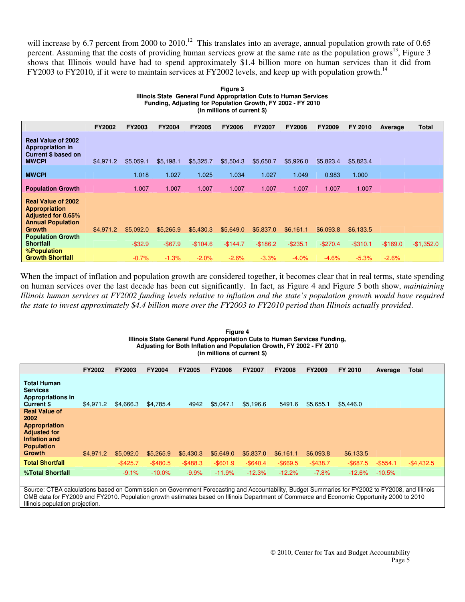will increase by 6.7 percent from 2000 to 2010.<sup>12</sup> This translates into an average, annual population growth rate of 0.65 percent. Assuming that the costs of providing human services grow at the same rate as the population grows $^{13}$ , Figure 3 shows that Illinois would have had to spend approximately \$1.4 billion more on human services than it did from FY2003 to FY2010, if it were to maintain services at FY2002 levels, and keep up with population growth.<sup>14</sup>

| Figure 3                                                         |
|------------------------------------------------------------------|
| Illinois State General Fund Appropriation Cuts to Human Services |
| Funding, Adjusting for Population Growth, FY 2002 - FY 2010      |
| (in millions of current \$)                                      |

|                                                                                                                             | <b>FY2002</b> | <b>FY2003</b> | <b>FY2004</b> | <b>FY2005</b> | <b>FY2006</b> | <b>FY2007</b> | <b>FY2008</b> | <b>FY2009</b> | FY 2010   | Average   | Total       |
|-----------------------------------------------------------------------------------------------------------------------------|---------------|---------------|---------------|---------------|---------------|---------------|---------------|---------------|-----------|-----------|-------------|
| <b>Real Value of 2002</b><br><b>Appropriation in</b><br><b>Current \$ based on</b><br><b>MWCPI</b>                          | \$4,971.2     | \$5,059.1     | \$5,198.1     | \$5,325.7     | \$5,504.3     | \$5,650.7     | \$5,926.0     | \$5,823.4     | \$5,823.4 |           |             |
| <b>MWCPI</b>                                                                                                                |               | 1.018         | 1.027         | 1.025         | 1.034         | 1.027         | 1.049         | 0.983         | 1.000     |           |             |
| <b>Population Growth</b>                                                                                                    |               | 1.007         | 1.007         | 1.007         | 1.007         | 1.007         | 1.007         | 1.007         | 1.007     |           |             |
| <b>Real Value of 2002</b><br><b>Appropriation</b><br><b>Adjusted for 0.65%</b><br><b>Annual Population</b><br><b>Growth</b> | \$4,971.2     | \$5,092.0     | \$5,265.9     | \$5,430.3     | \$5,649.0     | \$5,837.0     | \$6,161.1     | \$6,093.8     | \$6,133.5 |           |             |
| <b>Population Growth</b><br><b>Shortfall</b>                                                                                |               | $-$ \$32.9    | $-$ \$67.9    | $-$104.6$     | $-$144.7$     | $-$186.2$     | $-$235.1$     | $-$270.4$     | $-$310.1$ | $-$169.0$ | $-$1,352.0$ |
| %Population<br><b>Growth Shortfall</b>                                                                                      |               | $-0.7%$       | $-1.3%$       | $-2.0%$       | $-2.6%$       | $-3.3%$       | $-4.0%$       | $-4.6%$       | $-5.3%$   | $-2.6%$   |             |

When the impact of inflation and population growth are considered together, it becomes clear that in real terms, state spending on human services over the last decade has been cut significantly. In fact, as Figure 4 and Figure 5 both show, *maintaining Illinois human services at FY2002 funding levels relative to inflation and the state's population growth would have required the state to invest approximately \$4.4 billion more over the FY2003 to FY2010 period than Illinois actually provided*.

#### **Figure 4 Illinois State General Fund Appropriation Cuts to Human Services Funding, Adjusting for Both Inflation and Population Growth, FY 2002 - FY 2010 (in millions of current \$)**

|                                                                                                                             | <b>FY2002</b> | <b>FY2003</b> | <b>FY2004</b> | <b>FY2005</b> | <b>FY2006</b> | <b>FY2007</b> | <b>FY2008</b> | <b>FY2009</b> | FY 2010     | Average     | <b>Total</b> |  |
|-----------------------------------------------------------------------------------------------------------------------------|---------------|---------------|---------------|---------------|---------------|---------------|---------------|---------------|-------------|-------------|--------------|--|
| <b>Total Human</b><br><b>Services</b><br><b>Appropriations in</b><br><b>Current \$</b>                                      | \$4,971.2     | \$4,666.3     | \$4,785.4     | 4942          | \$5,047.1     | \$5,196.6     | 5491.6        | \$5,655.1     | \$5,446.0   |             |              |  |
| <b>Real Value of</b><br>2002<br><b>Appropriation</b><br><b>Adjusted for</b><br>Inflation and<br><b>Population</b><br>Growth | \$4,971.2     | \$5,092.0     | \$5,265.9     | \$5,430.3     | \$5,649.0     | \$5,837.0     | \$6,161.1     | \$6,093.8     | \$6,133.5   |             |              |  |
| <b>Total Shortfall</b>                                                                                                      |               | $-$425.7$     | $-$ \$480.5   | $-$ \$488.3   | $-$ \$601.9   | $-$ \$640.4   | $-$ \$669.5   | $-$438.7$     | $-$ \$687.5 | $-$ \$554.1 | $-$4,432.5$  |  |
| %Total Shortfall                                                                                                            |               | $-9.1%$       | $-10.0\%$     | $-9.9%$       | $-11.9%$      | $-12.3%$      | $-12.2%$      | $-7.8%$       | $-12.6%$    | $-10.5%$    |              |  |
|                                                                                                                             |               |               |               |               |               |               |               |               |             |             |              |  |

Source: CTBA calculations based on Commission on Government Forecasting and Accountability, Budget Summaries for FY2002 to FY2008, and Illinois OMB data for FY2009 and FY2010. Population growth estimates based on Illinois Department of Commerce and Economic Opportunity 2000 to 2010 Illinois population projection.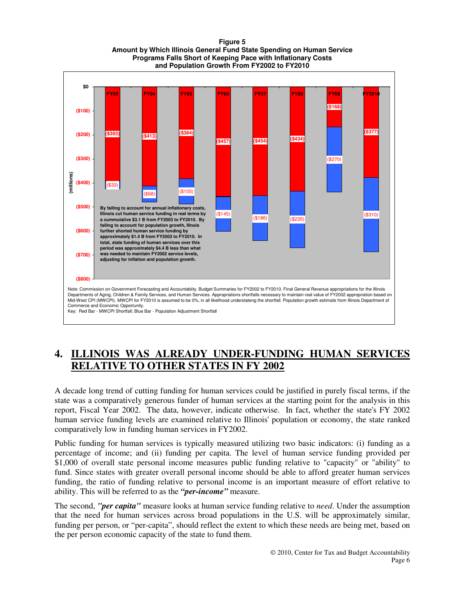#### **Figure 5 Amount by Which Illinois General Fund State Spending on Human Service Programs Falls Short of Keeping Pace with Inflationary Costs and Population Growth From FY2002 to FY2010**



### **4. ILLINOIS WAS ALREADY UNDER-FUNDING HUMAN SERVICES RELATIVE TO OTHER STATES IN FY 2002**

A decade long trend of cutting funding for human services could be justified in purely fiscal terms, if the state was a comparatively generous funder of human services at the starting point for the analysis in this report, Fiscal Year 2002. The data, however, indicate otherwise. In fact, whether the state's FY 2002 human service funding levels are examined relative to Illinois' population or economy, the state ranked comparatively low in funding human services in FY2002.

Public funding for human services is typically measured utilizing two basic indicators: (i) funding as a percentage of income; and (ii) funding per capita. The level of human service funding provided per \$1,000 of overall state personal income measures public funding relative to "capacity" or "ability" to fund. Since states with greater overall personal income should be able to afford greater human services funding, the ratio of funding relative to personal income is an important measure of effort relative to ability. This will be referred to as the *"per-income"* measure.

The second, *"per capita"* measure looks at human service funding relative to *need*. Under the assumption that the need for human services across broad populations in the U.S. will be approximately similar, funding per person, or "per-capita", should reflect the extent to which these needs are being met, based on the per person economic capacity of the state to fund them.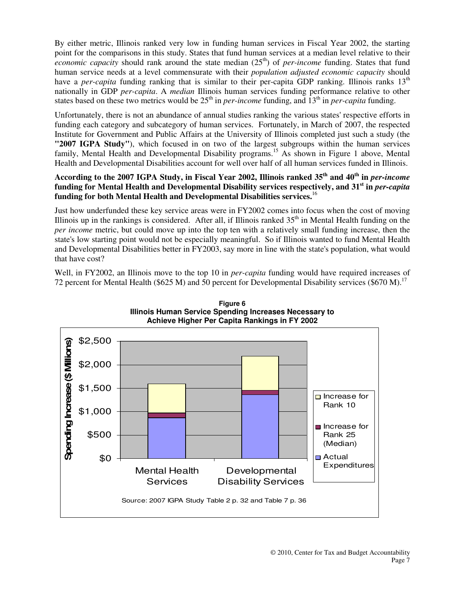By either metric, Illinois ranked very low in funding human services in Fiscal Year 2002, the starting point for the comparisons in this study. States that fund human services at a median level relative to their *economic capacity* should rank around the state median  $(25<sup>th</sup>)$  of *per-income* funding. States that fund human service needs at a level commensurate with their *population adjusted economic capacity* should have a *per-capita* funding ranking that is similar to their per-capita GDP ranking. Illinois ranks 13<sup>th</sup> nationally in GDP *per-capita*. A *median* Illinois human services funding performance relative to other states based on these two metrics would be  $25<sup>th</sup>$  in *per-income* funding, and  $13<sup>th</sup>$  in *per-capita* funding.

Unfortunately, there is not an abundance of annual studies ranking the various states' respective efforts in funding each category and subcategory of human services. Fortunately, in March of 2007, the respected Institute for Government and Public Affairs at the University of Illinois completed just such a study (the **"2007 IGPA Study"**), which focused in on two of the largest subgroups within the human services family, Mental Health and Developmental Disability programs.<sup>15</sup> As shown in Figure 1 above, Mental Health and Developmental Disabilities account for well over half of all human services funded in Illinois.

#### **According to the 2007 IGPA Study, in Fiscal Year 2002, Illinois ranked 35th and 40th in** *per-income* **funding for Mental Health and Developmental Disability services respectively, and 31st in** *per-capita* **funding for both Mental Health and Developmental Disabilities services.**<sup>16</sup>

Just how underfunded these key service areas were in FY2002 comes into focus when the cost of moving Illinois up in the rankings is considered. After all, if Illinois ranked  $35<sup>th</sup>$  in Mental Health funding on the *per income* metric, but could move up into the top ten with a relatively small funding increase, then the state's low starting point would not be especially meaningful. So if Illinois wanted to fund Mental Health and Developmental Disabilities better in FY2003, say more in line with the state's population, what would that have cost?

Well, in FY2002, an Illinois move to the top 10 in *per-capita* funding would have required increases of 72 percent for Mental Health (\$625 M) and 50 percent for Developmental Disability services (\$670 M).<sup>17</sup>



**Figure 6 Illinois Human Service Spending Increases Necessary to**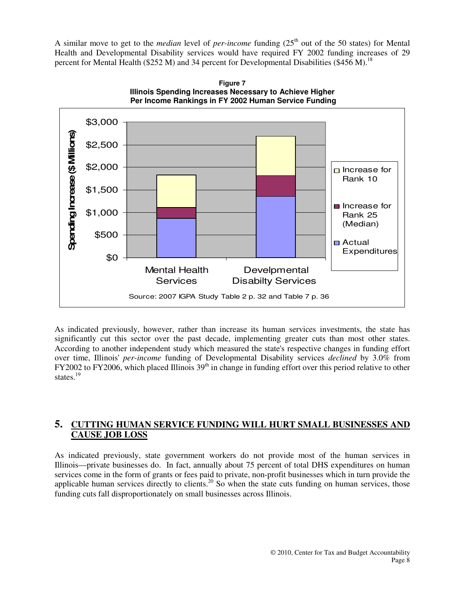A similar move to get to the *median* level of *per-income* funding  $(25<sup>th</sup>$  out of the 50 states) for Mental Health and Developmental Disability services would have required FY 2002 funding increases of 29 percent for Mental Health (\$252 M) and 34 percent for Developmental Disabilities (\$456 M).<sup>18</sup>





As indicated previously, however, rather than increase its human services investments, the state has significantly cut this sector over the past decade, implementing greater cuts than most other states. According to another independent study which measured the state's respective changes in funding effort over time, Illinois' *per-income* funding of Developmental Disability services *declined* by 3.0% from FY2002 to FY2006, which placed Illinois 39<sup>th</sup> in change in funding effort over this period relative to other states.<sup>19</sup>

#### **5. CUTTING HUMAN SERVICE FUNDING WILL HURT SMALL BUSINESSES AND CAUSE JOB LOSS**

As indicated previously, state government workers do not provide most of the human services in Illinois—private businesses do. In fact, annually about 75 percent of total DHS expenditures on human services come in the form of grants or fees paid to private, non-profit businesses which in turn provide the applicable human services directly to clients.<sup>20</sup> So when the state cuts funding on human services, those funding cuts fall disproportionately on small businesses across Illinois.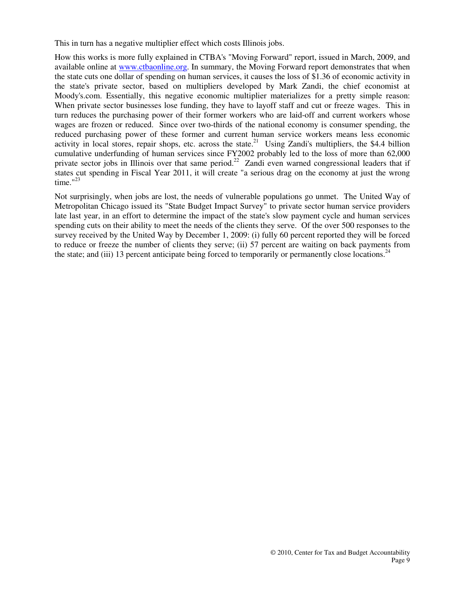This in turn has a negative multiplier effect which costs Illinois jobs.

How this works is more fully explained in CTBA's "Moving Forward" report, issued in March, 2009, and available online at www.ctbaonline.org. In summary, the Moving Forward report demonstrates that when the state cuts one dollar of spending on human services, it causes the loss of \$1.36 of economic activity in the state's private sector, based on multipliers developed by Mark Zandi, the chief economist at Moody's.com. Essentially, this negative economic multiplier materializes for a pretty simple reason: When private sector businesses lose funding, they have to layoff staff and cut or freeze wages. This in turn reduces the purchasing power of their former workers who are laid-off and current workers whose wages are frozen or reduced. Since over two-thirds of the national economy is consumer spending, the reduced purchasing power of these former and current human service workers means less economic activity in local stores, repair shops, etc. across the state.<sup>21</sup> Using Zandi's multipliers, the \$4.4 billion cumulative underfunding of human services since FY2002 probably led to the loss of more than 62,000 private sector jobs in Illinois over that same period.<sup>22</sup> Zandi even warned congressional leaders that if states cut spending in Fiscal Year 2011, it will create "a serious drag on the economy at just the wrong time."<sup>23</sup>

Not surprisingly, when jobs are lost, the needs of vulnerable populations go unmet. The United Way of Metropolitan Chicago issued its "State Budget Impact Survey" to private sector human service providers late last year, in an effort to determine the impact of the state's slow payment cycle and human services spending cuts on their ability to meet the needs of the clients they serve. Of the over 500 responses to the survey received by the United Way by December 1, 2009: (i) fully 60 percent reported they will be forced to reduce or freeze the number of clients they serve; (ii) 57 percent are waiting on back payments from the state; and (iii) 13 percent anticipate being forced to temporarily or permanently close locations.<sup>24</sup>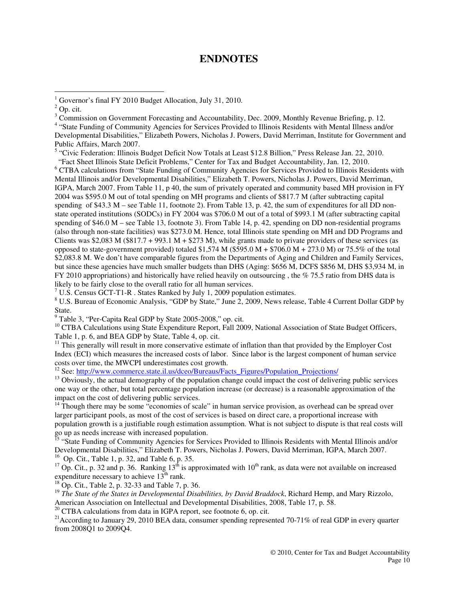#### **ENDNOTES**

 $\overline{a}$ 

<sup>5</sup> "Civic Federation: Illinois Budget Deficit Now Totals at Least \$12.8 Billion," Press Release Jan. 22, 2010.

"Fact Sheet Illinois State Deficit Problems," Center for Tax and Budget Accountability, Jan. 12, 2010.

<sup>6</sup> CTBA calculations from "State Funding of Community Agencies for Services Provided to Illinois Residents with Mental Illinois and/or Developmental Disabilities," Elizabeth T. Powers, Nicholas J. Powers, David Merriman, IGPA, March 2007. From Table 11, p 40, the sum of privately operated and community based MH provision in FY 2004 was \$595.0 M out of total spending on MH programs and clients of \$817.7 M (after subtracting capital spending of \$43.3 M – see Table 11, footnote 2). From Table 13, p. 42, the sum of expenditures for all DD nonstate operated institutions (SODCs) in FY 2004 was \$706.0 M out of a total of \$993.1 M (after subtracting capital spending of \$46.0 M – see Table 13, footnote 3). From Table 14, p. 42, spending on DD non-residential programs (also through non-state facilities) was \$273.0 M. Hence, total Illinois state spending on MH and DD Programs and Clients was \$2,083 M (\$817.7 + 993.1 M + \$273 M), while grants made to private providers of these services (as opposed to state-government provided) totaled \$1,574 M (\$595.0 M + \$706.0 M + 273.0 M) or 75.5% of the total \$2,083.8 M. We don't have comparable figures from the Departments of Aging and Children and Family Services, but since these agencies have much smaller budgets than DHS (Aging: \$656 M, DCFS \$856 M, DHS \$3,934 M, in FY 2010 appropriations) and historically have relied heavily on outsourcing, the % 75.5 ratio from DHS data is likely to be fairly close to the overall ratio for all human services.

<sup>7</sup> U.S. Census GCT-T1-R . States Ranked by July 1, 2009 population estimates.

<sup>8</sup> U.S. Bureau of Economic Analysis, "GDP by State," June 2, 2009, News release, Table 4 Current Dollar GDP by State.

<sup>9</sup> Table 3, "Per-Capita Real GDP by State 2005-2008," op. cit.

<sup>10</sup> CTBA Calculations using State Expenditure Report, Fall 2009, National Association of State Budget Officers, Table 1, p. 6, and BEA GDP by State, Table 4, op. cit.

 $11$  This generally will result in more conservative estimate of inflation than that provided by the Employer Cost Index (ECI) which measures the increased costs of labor. Since labor is the largest component of human service costs over time, the MWCPI underestimates cost growth.

<sup>12</sup> See: http://www.commerce.state.il.us/dceo/Bureaus/Facts\_Figures/Population\_Projections/

<sup>13</sup> Obviously, the actual demography of the population change could impact the cost of delivering public services one way or the other, but total percentage population increase (or decrease) is a reasonable approximation of the impact on the cost of delivering public services.

 $14$ <sup>14</sup> Though there may be some "economies of scale" in human service provision, as overhead can be spread over larger participant pools, as most of the cost of services is based on direct care, a proportional increase with population growth is a justifiable rough estimation assumption. What is not subject to dispute is that real costs will go up as needs increase with increased population.

<sup>15</sup> "State Funding of Community Agencies for Services Provided to Illinois Residents with Mental Illinois and/or Developmental Disabilities," Elizabeth T. Powers, Nicholas J. Powers, David Merriman, IGPA, March 2007.  $16$  Op. Cit., Table 1, p. 32, and Table 6, p. 35.

<sup>17</sup> Op. Cit., p. 32 and p. 36. Ranking  $13<sup>th</sup>$  is approximated with  $10<sup>th</sup>$  rank, as data were not available on increased expenditure necessary to achieve  $13<sup>th</sup>$  rank.

 $^{18}$  Op. Cit., Table 2, p. 32-33 and Table 7, p. 36.

<sup>19</sup> The State of the States in Developmental Disabilities, by David Braddock, Richard Hemp, and Mary Rizzolo, American Association on Intellectual and Developmental Disabilities, 2008, Table 17, p. 58.

 $20$  CTBA calculations from data in IGPA report, see footnote 6, op. cit.

<sup>21</sup> According to January 29, 2010 BEA data, consumer spending represented 70-71% of real GDP in every quarter from 2008Q1 to 2009Q4.

<sup>&</sup>lt;sup>1</sup> Governor's final FY 2010 Budget Allocation, July 31, 2010.

 $2$  Op. cit.

<sup>&</sup>lt;sup>3</sup> Commission on Government Forecasting and Accountability, Dec. 2009, Monthly Revenue Briefing, p. 12.

<sup>&</sup>lt;sup>4</sup> "State Funding of Community Agencies for Services Provided to Illinois Residents with Mental Illness and/or Developmental Disabilities," Elizabeth Powers, Nicholas J. Powers, David Merriman, Institute for Government and Public Affairs, March 2007.